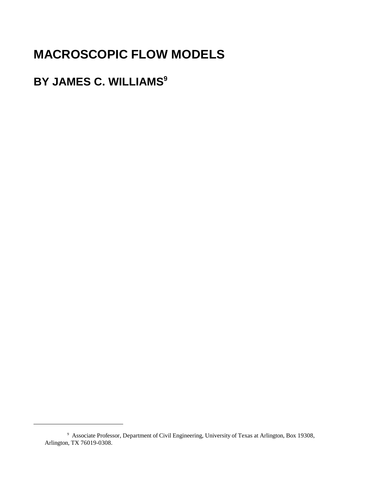# **MACROSCOPIC FLOW MODELS**

# **BY JAMES C. WILLIAMS<sup>9</sup>**

<sup>9</sup> Associate Professor, Department of Civil Engineering, University of Texas at Arlington, Box 19308, Arlington, TX 76019-0308.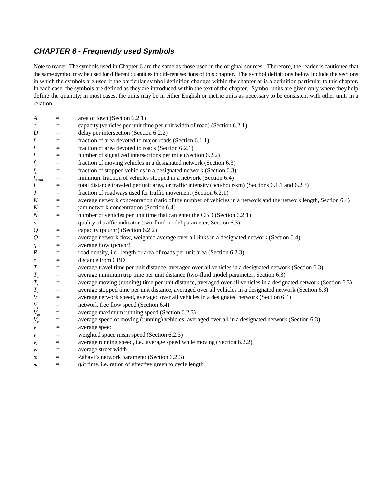## **CHAPTER 6 - Frequently used Symbols**

Note to reader: The symbols used in Chapter 6 are the same as those used in the original sources. Therefore, the reader is cautioned that the same symbol may be used for different quantities in different sections of this chapter. The symbol definitions below include the sections in which the symbols are used if the particular symbol definition changes within the chapter or is a definition particular to this chapter. In each case, the symbols are defined as they are introduced within the text of the chapter. Symbol units are given only where they help define the quantity; in most cases, the units may be in either English or metric units as necessary to be consistent with other units in a relation.

| A                              | $=$                     | area of town (Section 6.2.1)                                                                                      |
|--------------------------------|-------------------------|-------------------------------------------------------------------------------------------------------------------|
| $\mathcal{C}_{0}$              | $=$                     | capacity (vehicles per unit time per unit width of road) (Section 6.2.1)                                          |
| D                              | $=$                     | delay per intersection (Section 6.2.2)                                                                            |
| f                              | $\equiv$                | fraction of area devoted to major roads (Section 6.1.1)                                                           |
| $\int$                         | $=$                     | fraction of area devoted to roads (Section 6.2.1)                                                                 |
| $\int$                         | $\equiv$                | number of signalized intersections per mile (Section 6.2.2)                                                       |
|                                | $\qquad \qquad =\qquad$ | fraction of moving vehicles in a designated network (Section 6.3)                                                 |
| $f_r$<br>$f_s$                 | $=$                     | fraction of stopped vehicles in a designated network (Section 6.3)                                                |
| $f_{\scriptscriptstyle s,min}$ | $=$                     | minimum fraction of vehicles stopped in a network (Section 6.4)                                                   |
| $\boldsymbol{I}$               | $=$                     | total distance traveled per unit area, or traffic intensity (pcu/hour/km) (Sections 6.1.1 and 6.2.3)              |
| $\boldsymbol{J}$               | $=$                     | fraction of roadways used for traffic movement (Section 6.2.1)                                                    |
| $\boldsymbol{K}$               | $=$                     | average network concentration (ratio of the number of vehicles in a network and the network length, Section 6.4)  |
| $K_j$                          | $=$                     | jam network concentration (Section 6.4)                                                                           |
| $\cal N$                       | $=$                     | number of vehicles per unit time that can enter the CBD (Section 6.2.1)                                           |
| $\boldsymbol{n}$               | $=$                     | quality of traffic indicator (two-fluid model parameter, Section 6.3)                                             |
| ${\cal Q}$                     | $=$                     | capacity (pcu/hr) (Section 6.2.2)                                                                                 |
| ${\cal Q}$                     | $=$                     | average network flow, weighted average over all links in a designated network (Section 6.4)                       |
| q                              | $=$                     | average flow (pcu/hr)                                                                                             |
| $\cal R$                       | $=$                     | road density, i.e., length or area of roads per unit area (Section 6.2.3)                                         |
| $\boldsymbol{r}$               | $=$                     | distance from CBD                                                                                                 |
| $\cal T$                       | $=$                     | average travel time per unit distance, averaged over all vehicles in a designated network (Section 6.3)           |
| $T_{\scriptscriptstyle m}$     | $=$                     | average minimum trip time per unit distance (two-fluid model parameter, Section 6.3)                              |
| $\cal T$                       | $=$                     | average moving (running) time per unit distance, averaged over all vehicles in a designated network (Section 6.3) |
| $T_{\scriptscriptstyle s}$     | $\equiv$                | average stopped time per unit distance, averaged over all vehicles in a designated network (Section 6.3)          |
| $\boldsymbol{V}$               | $=$                     | average network speed, averaged over all vehicles in a designated network (Section 6.4)                           |
| $V_f$                          | $=$                     | network free flow speed (Section 6.4)                                                                             |
| $V_m$                          | $=$                     | average maximum running speed (Section 6.2.3)                                                                     |
| $V_r$                          | $=$                     | average speed of moving (running) vehicles, averaged over all in a designated network (Section 6.3)               |
| $\mathcal V$                   | $=$                     | average speed                                                                                                     |
| $\mathcal V$                   | $=$                     | weighted space mean speed (Section 6.2.3)                                                                         |
| $v_r$                          | $=$                     | average running speed, i.e., average speed while moving (Section 6.2.2)                                           |
| w                              | $=$                     | average street width                                                                                              |
| α                              | $=$                     | Zahavi's network parameter (Section 6.2.3)                                                                        |
| λ                              | $=$                     | $g/c$ time, i.e. ration of effective green to cycle length                                                        |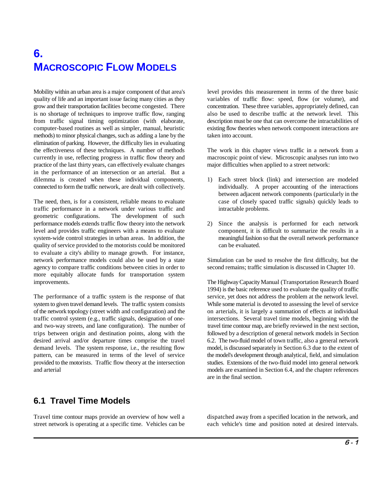# **6. MACROSCOPIC FLOW MODELS**

quality of life and an important issue facing many cities as they variables of traffic flow: speed, flow (or volume), and grow and their transportation facilities become congested. There concentration. These three variables, appropriately defined, can is no shortage of techniques to improve traffic flow, ranging also be used to describe traffic at the network level. This from traffic signal timing optimization (with elaborate, description must be one that can overcome the intractabilities of computer-based routines as well as simpler, manual, heuristic existing flow theories when network component interactions are methods) to minor physical changes, such as adding a lane by the taken into account. elimination of parking. However, the difficulty lies in evaluating the effectiveness of these techniques. A number of methods The work in this chapter views traffic in a network from a currently in use, reflecting progress in traffic flow theory and macroscopic point of view. Microscopic analyses run into two practice of the last thirty years, can effectively evaluate changes major difficulties when applied to a street network: in the performance of an intersection or an arterial. But a dilemma is created when these individual components, 1) Each street block (link) and intersection are modeled connected to form the traffic network, are dealt with collectively. individually. A proper accounting of the interactions

traffic performance in a network under various traffic and intractable problems. geometric configurations. The development of such performance models extends traffic flow theory into the network 2) Since the analysis is performed for each network level and provides traffic engineers with a means to evaluate component, it is difficult to summarize the results in a system-wide control strategies in urban areas. In addition, the meaningful fashion so that the overall network performance quality of service provided to the motorists could be monitored can be evaluated. to evaluate a city's ability to manage growth. For instance, network performance models could also be used by a state Simulation can be used to resolve the first difficulty, but the agency to compare traffic conditions between cities in order to second remains; traffic simulation is discussed in Chapter 10. more equitably allocate funds for transportation system

system to given travel demand levels. The traffic system consists While some material is devoted to assessing the level of service of the network topology (street width and configuration) and the on arterials, it is largely a summation of effects at individual traffic control system (e.g., traffic signals, designation of one- intersections. Several travel time models, beginning with the and two-way streets, and lane configuration). The number of travel time contour map, are briefly reviewed in the next section, trips between origin and destination points, along with the followed by a description of general network models in Section desired arrival and/or departure times comprise the travel 6.2. The two-fluid model of town traffic, also a general network demand levels. The system response, i.e., the resulting flow model, is discussed separately in Section 6.3 due to the extent of pattern, can be measured in terms of the level of service the model's development through analytical, field, and simulation provided to the motorists. Traffic flow theory at the intersection studies. Extensions of the two-fluid model into general network and arterial models are examined in Section 6.4, and the chapter references

# **6.1 Travel Time Models**

Mobility within an urban area is a major component of that area's level provides this measurement in terms of the three basic

- The need, then, is for a consistent, reliable means to evaluate case of closely spaced traffic signals) quickly leads to between adjacent network components (particularly in the
	-

The Highway Capacity Manual (Transportation Research Board The performance of a traffic system is the response of that service, yet does not address the problem at the network level. 1994) is the basic reference used to evaluate the quality of traffic are in the final section.

Travel time contour maps provide an overview of how well a dispatched away from a specified location in the network, and street network is operating at a specific time. Vehicles can be each vehicle's time and position noted at desired intervals.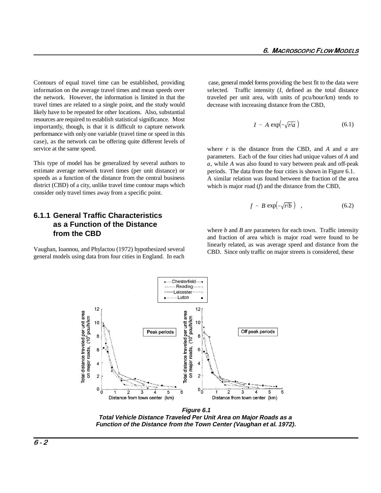Contours of equal travel time can be established, providing case, general model forms providing the best fit to the data were information on the average travel times and mean speeds over the network. However, the information is limited in that the travel times are related to a single point, and the study would likely have to be repeated for other locations. Also, substantial resources are required to establish statistical significance. Most importantly, though, is that it is difficult to capture network performance with only one variable (travel time or speed in this case), as the network can be offering quite different levels of service at the same speed.

This type of model has be generalized by several authors to estimate average network travel times (per unit distance) or speeds as a function of the distance from the central business district (CBD) of a city, unlike travel time contour maps which consider only travel times away from a specific point.

#### **6.1.1 General Traffic Characteristics as a Function of the Distance from the CBD**

Vaughan, Ioannou, and Phylactou (1972) hypothesized several general models using data from four cities in England. In each selected. Traffic intensity (*I*, defined as the total distance traveled per unit area, with units of pcu/hour/km) tends to decrease with increasing distance from the CBD,

$$
I = A \, \exp\left(-\sqrt{r/a}\right) \tag{6.1}
$$

where *r* is the distance from the CBD, and *A* and *a* are parameters. Each of the four cities had unique values of *A* and *a*, while *A* was also found to vary between peak and off-peak periods. The data from the four cities is shown in Figure 6.1. A similar relation was found between the fraction of the area which is major road (*f*) and the distance from the CBD,

$$
f = B \exp\left(-\sqrt{r/b}\right) \quad , \tag{6.2}
$$

where *b* and *B* are parameters for each town. Traffic intensity and fraction of area which is major road were found to be linearly related, as was average speed and distance from the CBD. Since only traffic on major streets is considered, these



**Figure 6.1 Total Vehicle Distance Traveled Per Unit Area on Major Roads as a Function of the Distance from the Town Center (Vaughan et al. 1972).**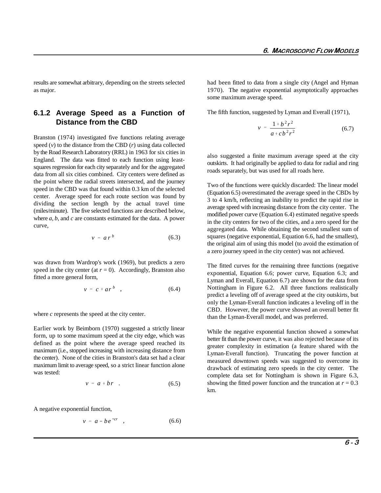as major. 1970). The negative exponential asymptotically approaches

#### **6.1.2 Average Speed as a Function of Distance from the CBD**

Branston (1974) investigated five functions relating average speed  $(v)$  to the distance from the CBD  $(r)$  using data collected by the Road Research Laboratory (RRL) in 1963 for six cities in England. The data was fitted to each function using leastsquares regression for each city separately and for the aggregated data from all six cities combined. City centers were defined as the point where the radial streets intersected, and the journey speed in the CBD was that found within 0.3 km of the selected center. Average speed for each route section was found by dividing the section length by the actual travel time (miles/minute). The five selected functions are described below, where *a*, *b*, and *c* are constants estimated for the data. A power curve,

$$
v = a r^b \tag{6.3}
$$

was drawn from Wardrop's work (1969), but predicts a zero speed in the city center (at  $r = 0$ ). Accordingly, Branston also fitted a more general form,

$$
v = c + ar^b \quad , \tag{6.4}
$$

where *c* represents the speed at the city center.

Earlier work by Beimborn (1970) suggested a strictly linear form, up to some maximum speed at the city edge, which was defined as the point where the average speed reached its maximum (i.e., stopped increasing with increasing distance from the center). None of the cities in Branston's data set had a clear maximum limit to average speed, so a strict linear function alone was tested:

$$
v = a + br \quad . \tag{6.5}
$$

A negative exponential function,

$$
v = a - be^{-cr} \quad , \tag{6.6}
$$

results are somewhat arbitrary, depending on the streets selected had been fitted to data from a single city (Angel and Hyman some maximum average speed.

The fifth function, suggested by Lyman and Everall (1971),

$$
v = \frac{1 + b^2 r^2}{a + cb^2 r^2}
$$
 (6.7)

also suggested a finite maximum average speed at the city outskirts. It had originally be applied to data for radial and ring roads separately, but was used for all roads here.

Two of the functions were quickly discarded: The linear model (Equation 6.5) overestimated the average speed in the CBDs by 3 to 4 km/h, reflecting an inability to predict the rapid rise in average speed with increasing distance from the city center. The modified power curve (Equation 6.4) estimated negative speeds in the city centers for two of the cities, and a zero speed for the aggregated data. While obtaining the second smallest sum of squares (negative exponential, Equation 6.6, had the smallest), the original aim of using this model (to avoid the estimation of a zero journey speed in the city center) was not achieved.

The fitted curves for the remaining three functions (negative exponential, Equation 6.6; power curve, Equation 6.3; and Lyman and Everall, Equation 6.7) are shown for the data from Nottingham in Figure 6.2. All three functions realistically predict a leveling off of average speed at the city outskirts, but only the Lyman-Everall function indicates a leveling off in the CBD. However, the power curve showed an overall better fit than the Lyman-Everall model, and was preferred.

While the negative exponential function showed a somewhat better fit than the power curve, it was also rejected because of its greater complexity in estimation (a feature shared with the Lyman-Everall function). Truncating the power function at measured downtown speeds was suggested to overcome its drawback of estimating zero speeds in the city center. The complete data set for Nottingham is shown in Figure 6.3, showing the fitted power function and the truncation at  $r = 0.3$ km.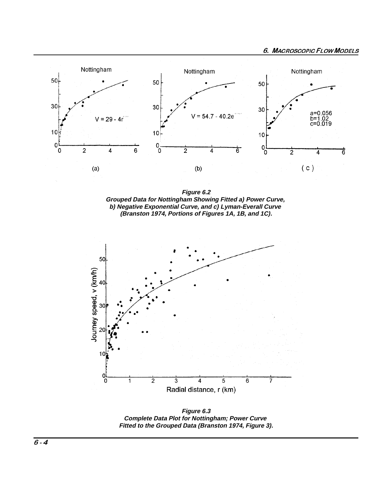

Figure 6.2 Grouped Data for Nottingham Showing Fitted a) Power Curve, b) Negative Exponential Curve, and c) Lyman-Everall Curve *(Branston 1974, Portions of Figures 1A, 1B, and 1C).* 



Figure 6.3 **Complete Data Plot for Nottingham; Power Curve** Fitted to the Grouped Data (Branston 1974, Figure 3).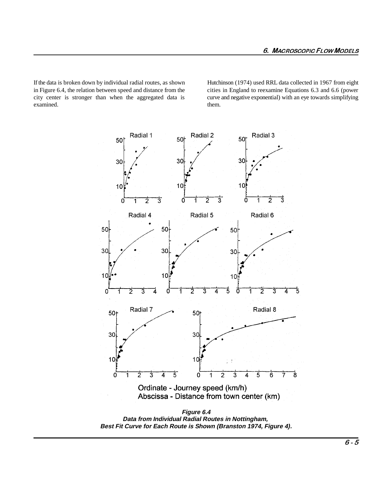If the data is broken down by individual radial routes, as shown Hutchinson (1974) used RRL data collected in 1967 from eight in Figure 6.4, the relation between speed and distance from the cities in England to reexamine Equations 6.3 and 6.6 (power city center is stronger than when the aggregated data is curve and negative exponential) with an eye towards simplifying examined. them. them.



**Figure 6.4 Data from Individual Radial Routes in Nottingham, Best Fit Curve for Each Route is Shown (Branston 1974, Figure 4).**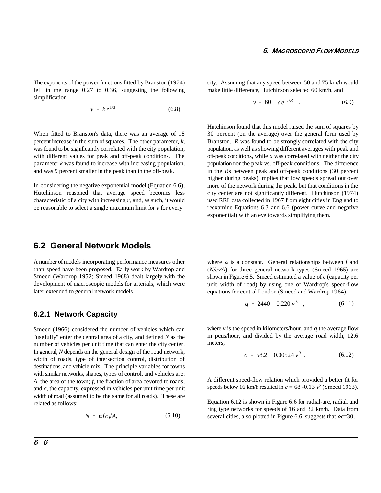The exponents of the power functions fitted by Branston (1974) city. Assuming that any speed between 50 and 75 km/h would fell in the range 0.27 to 0.36, suggesting the following make little difference, Hutchinson selected 60 km/h, and simplification

$$
v = kr^{1/3} \tag{6.8}
$$

percent increase in the sum of squares. The other parameter, *k*, Branston. *R* was found to be strongly correlated with the city was found to be significantly correlated with the city population, population, as well as showing different averages with peak and with different values for peak and off-peak conditions. The parameter  $k$  was found to increase with increasing population, population nor the peak vs. off-peak conditions. The difference and was 9 percent smaller in the peak than in the off-peak.

In considering the negative exponential model (Equation 6.6), Hutchinson reasoned that average speed becomes less characteristic of a city with increasing *r*, and, as such, it would used RRL data collected in 1967 from eight cities in England to be reasonable to select a single maximum limit for *v* for every

$$
v = 60 - ae^{-r/R} \t . \t (6.9)
$$

When fitted to Branston's data, there was an average of 18 30 percent (on the average) over the general form used by Hutchinson found that this model raised the sum of squares by off-peak conditions, while *a* was correlated with neither the city in the *R*s between peak and off-peak conditions (30 percent higher during peaks) implies that low speeds spread out over more of the network during the peak, but that conditions in the city center are not significantly different. Hutchinson (1974) reexamine Equations 6.3 and 6.6 (power curve and negative exponential) with an eye towards simplifying them.

#### **6.2 General Network Models**

A number of models incorporating performance measures other than speed have been proposed. Early work by Wardrop and Smeed (Wardrop 1952; Smeed 1968) dealt largely with the development of macroscopic models for arterials, which were later extended to general network models.

#### **6.2.1 Network Capacity**

Smeed (1966) considered the number of vehicles which can "usefully" enter the central area of a city, and defined *N* as the number of vehicles per unit time that can enter the city center. In general, *N* depends on the general design of the road network, width of roads, type of intersection control, distribution of destinations, and vehicle mix. The principle variables for towns with similar networks, shapes, types of control, and vehicles are: *A*, the area of the town; *f*, the fraction of area devoted to roads; and *c*, the capacity, expressed in vehicles per unit time per unit width of road (assumed to be the same for all roads). These are related as follows:

$$
N = \alpha f c \sqrt{A}, \qquad (6.10)
$$

where  $\alpha$  is a constant. General relationships between  $f$  and  $(N/c\sqrt{A})$  for three general network types (Smeed 1965) are shown in Figure 6.5. Smeed estimated a value of *c* (capacity per unit width of road) by using one of Wardrop's speed-flow equations for central London (Smeed and Wardrop 1964),

$$
q = 2440 - 0.220 v3 , \t\t(6.11)
$$

where *v* is the speed in kilometers/hour, and *q* the average flow in pcus/hour, and divided by the average road width, 12.6 meters,

$$
c = 58.2 - 0.00524 v3
$$
 (6.12)

A different speed-flow relation which provided a better fit for speeds below 16 km/h resulted in  $c = 68 - 0.13$   $v^2$  (Smeed 1963).

Equation 6.12 is shown in Figure 6.6 for radial-arc, radial, and ring type networks for speeds of 16 and 32 km/h. Data from several cities, also plotted in Figure 6.6, suggests that  $\alpha c = 30$ ,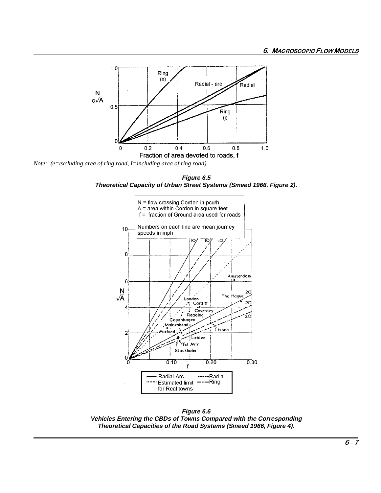

Note: (e=excluding area of ring road, I=including area of ring road)

Figure 6.5 Theoretical Capacity of Urban Street Systems (Smeed 1966, Figure 2).



Figure 6.6 Vehicles Entering the CBDs of Towns Compared with the Corresponding Theoretical Capacities of the Road Systems (Smeed 1966, Figure 4).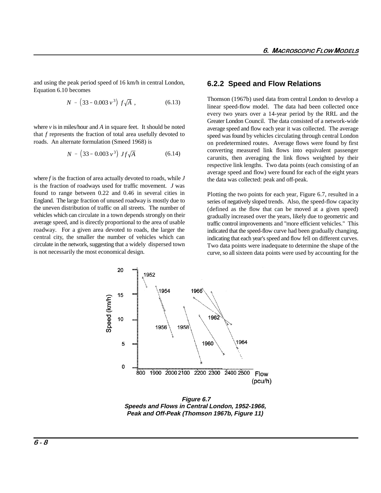and using the peak period speed of 16 km/h in central London, Equation 6.10 becomes

$$
N = (33 - 0.003 v3) f\sqrt{A} , \qquad (6.13)
$$

where  $\nu$  is in miles/hour and  $A$  in square feet. It should be noted that *f* represents the fraction of total area usefully devoted to roads. An alternate formulation (Smeed 1968) is

$$
N = (33 - 0.003 \, v^3) \, Jf\sqrt{A} \tag{6.14}
$$

where *f* is the fraction of area actually devoted to roads, while *J* is the fraction of roadways used for traffic movement. *J* was found to range between 0.22 and 0.46 in several cities in England. The large fraction of unused roadway is mostly due to the uneven distribution of traffic on all streets. The number of vehicles which can circulate in a town depends strongly on their average speed, and is directly proportional to the area of usable roadway. For a given area devoted to roads, the larger the central city, the smaller the number of vehicles which can circulate in the network, suggesting that a widely dispersed town is not necessarily the most economical design.

#### **6.2.2 Speed and Flow Relations**

Thomson (1967b) used data from central London to develop a linear speed-flow model. The data had been collected once every two years over a 14-year period by the RRL and the Greater London Council. The data consisted of a network-wide average speed and flow each year it was collected. The average speed was found by vehicles circulating through central London on predetermined routes. Average flows were found by first converting measured link flows into equivalent passenger carunits, then averaging the link flows weighted by their respective link lengths. Two data points (each consisting of an average speed and flow) were found for each of the eight years the data was collected: peak and off-peak.

Plotting the two points for each year, Figure 6.7, resulted in a series of negatively sloped trends. Also, the speed-flow capacity (defined as the flow that can be moved at a given speed) gradually increased over the years, likely due to geometric and traffic control improvements and "more efficient vehicles." This indicated that the speed-flow curve had been gradually changing, indicating that each year's speed and flow fell on different curves. Two data points were inadequate to determine the shape of the curve, so all sixteen data points were used by accounting for the



**Figure 6.7 Speeds and Flows in Central London, 1952-1966, Peak and Off-Peak (Thomson 1967b, Figure 11)**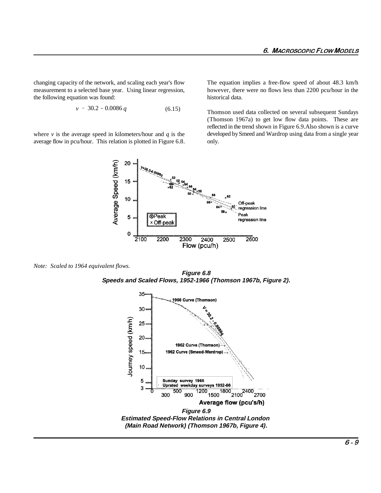changing capacity of the network, and scaling each year's flow The equation implies a free-flow speed of about 48.3 km/h measurement to a selected base year. Using linear regression, however, there were no flows less than 2200 pcu/hour in the the following equation was found: historical data.

$$
v = 30.2 - 0.0086 q \tag{6.15}
$$

where  $\nu$  is the average speed in kilometers/hour and  $q$  is the average flow in pcu/hour. This relation is plotted in Figure 6.8.

Thomson used data collected on several subsequent Sundays (Thomson 1967a) to get low flow data points. These are reflected in the trend shown in Figure 6.9.Also shown is a curve developed by Smeed and Wardrop using data from a single year only.



*Note: Scaled to 1964 equivalent flows.*

**Figure 6.8 Speeds and Scaled Flows, 1952-1966 (Thomson 1967b, Figure 2).**

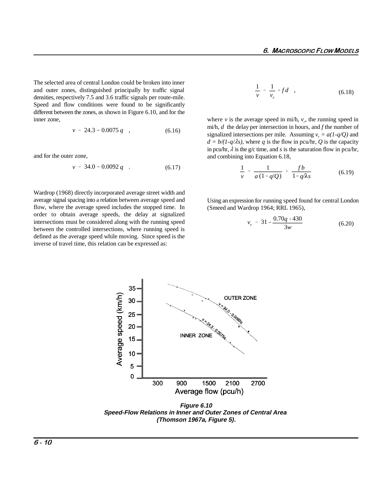The selected area of central London could be broken into inner and outer zones, distinguished principally by traffic signal densities, respectively 7.5 and 3.6 traffic signals per route-mile. Speed and flow conditions were found to be significantly different between the zones, as shown in Figure 6.10, and for the inner zone,

$$
v = 24.3 - 0.0075 q \quad , \tag{6.16}
$$

and for the outer zone,

$$
v = 34.0 - 0.0092 q \quad . \tag{6.17}
$$

Wardrop (1968) directly incorporated average street width and average signal spacing into a relation between average speed and flow, where the average speed includes the stopped time. In order to obtain average speeds, the delay at signalized intersections must be considered along with the running speed between the controlled intersections, where running speed is defined as the average speed while moving. Since speed is the inverse of travel time, this relation can be expressed as:

$$
\frac{1}{v} = \frac{1}{v_r} + f d \quad , \tag{6.18}
$$

where *v* is the average speed in mi/h,  $v_r$ , the running speed in mi/h, *d* the delay per intersection in hours, and *f* the number of signalized intersections per mile. Assuming  $v = a(1-a/O)$  and  $d = b/(1-q/\lambda s)$ , where *q* is the flow in pcu/hr, *Q* is the capacity in pcu/hr,  $\lambda$  is the g/c time, and *s* is the saturation flow in pcu/hr, and combining into Equation 6.18,

$$
\frac{1}{v} = \frac{1}{a(1-q/Q)} + \frac{fb}{1-q/\lambda s}
$$
(6.19)

Using an expression for running speed found for central London (Smeed and Wardrop 1964; RRL 1965),

$$
v_r = 31 - \frac{0.70q + 430}{3w} \tag{6.20}
$$



**Figure 6.10 Speed-Flow Relations in Inner and Outer Zones of Central Area (Thomson 1967a, Figure 5).**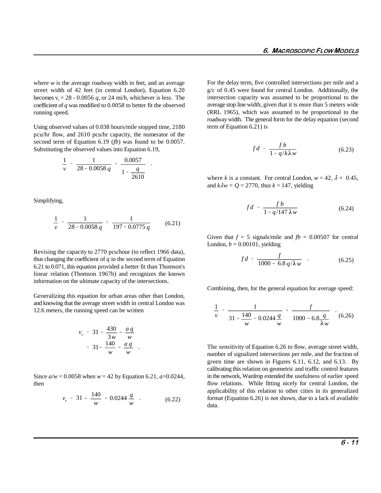where *w* is the average roadway width in feet, and an average street width of 42 feet (in central London), Equation 6.20 becomes  $v_r = 28 - 0.0056 q$ , or 24 mi/h, whichever is less. The coefficient of *q* was modified to 0.0058 to better fit the observed running speed.

Using observed values of 0.038 hours/mile stopped time, 2180 pcu/hr flow, and 2610 pcu/hr capacity, the numerator of the second term of Equation 6.19 (*fb*) was found to be 0.0057. Substituting the observed values into Equation 6.19,

$$
\frac{1}{v} = \frac{1}{28 - 0.0058 q} + \frac{0.0057}{1 - \frac{q}{2610}}.
$$

Simplifying,

$$
\frac{1}{v} = \frac{1}{28 - 0.0058q} + \frac{1}{197 - 0.0775q} \tag{6.21}
$$

Revising the capacity to 2770 pcu/hour (to reflect 1966 data), thus changing the coefficient of *q* in the second term of Equation 6.21 to 0.071, this equation provided a better fit than Thomson's linear relation (Thomson 1967b) and recognizes the known information on the ultimate capacity of the intersections.

Generalizing this equation for urban areas other than London, and knowing that the average street width in central London was 12.6 meters, the running speed can be written

$$
v_r = 31 - \frac{430}{3w} - \frac{aq}{w}
$$
  
= 31 -  $\frac{140}{w} - \frac{aq}{w}$ 

Since  $a/w = 0.0058$  when  $w = 42$  by Equation 6.21,  $a=0.0244$ , then

$$
v_r = 31 - \frac{140}{w} - 0.0244 \frac{q}{w} \quad . \tag{6.22}
$$

For the delay term, five controlled intersections per mile and a g/c of 0.45 were found for central London. Additionally, the intersection capacity was assumed to be proportional to the average stop line width, given that it is more than 5 meters wide (RRL 1965), which was assumed to be proportional to the roadway width. The general form for the delay equation (second term of Equation 6.21) is

$$
fd = \frac{fb}{1 - q/k\lambda w} \tag{6.23}
$$

where *k* is a constant. For central London,  $w = 42$ ,  $\lambda = 0.45$ , and  $k\lambda w = Q = 2770$ , thus  $k = 147$ , yielding

$$
fd = \frac{fb}{1 - q/147 \,\lambda w} \tag{6.24}
$$

Given that  $f = 5$  signals/mile and  $fb = 0.00507$  for central London,  $b = 0.00101$ , yielding

$$
fd = \frac{f}{1000 - 6.8 \, q/\lambda w} \quad . \tag{6.25}
$$

Combining, then, for the general equation for average speed:

$$
\frac{1}{v} = \frac{1}{31 - \frac{140}{w} - 0.0244 \frac{q}{w}} + \frac{f}{1000 - 6.8 \frac{q}{\lambda w}} \quad (6.26)
$$

The sensitivity of Equation 6.26 to flow, average street width, number of signalized intersections per mile, and the fraction of green time are shown in Figures 6.11, 6.12, and 6.13. By calibrating this relation on geometric and traffic control features in the network, Wardrop extended the usefulness of earlier speed flow relations. While fitting nicely for central London, the applicability of this relation to other cities in its generalized format (Equation 6.26) is not shown, due to a lack of available data.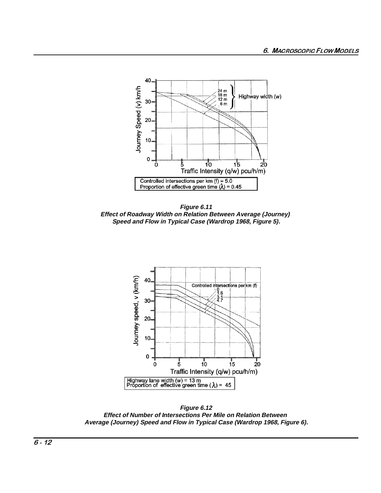

Figure 6.11 Effect of Roadway Width on Relation Between Average (Journey) Speed and Flow in Typical Case (Wardrop 1968, Figure 5).



Figure 6.12 Effect of Number of Intersections Per Mile on Relation Between Average (Journey) Speed and Flow in Typical Case (Wardrop 1968, Figure 6).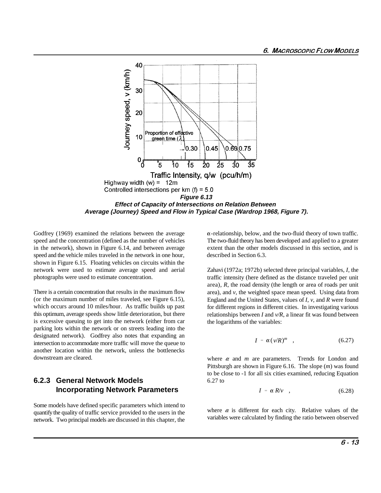

speed and the concentration (defined as the number of vehicles The two-fluid theory has been developed and applied to a greater in the network), shown in Figure 6.14, and between average extent than the other models discussed in this section, and is speed and the vehicle miles traveled in the network in one hour, described in Section 6.3. shown in Figure 6.15. Floating vehicles on circuits within the network were used to estimate average speed and aerial photographs were used to estimate concentration.

There is a certain concentration that results in the maximum flow (or the maximum number of miles traveled, see Figure 6.15), which occurs around 10 miles/hour. As traffic builds up past this optimum, average speeds show little deterioration, but there is excessive queuing to get into the network (either from car parking lots within the network or on streets leading into the designated network). Godfrey also notes that expanding an intersection to accommodate more traffic will move the queue to another location within the network, unless the bottlenecks downstream are cleared.

### **6.2.3 General Network Models Incorporating Network Parameters**

Some models have defined specific parameters which intend to quantify the quality of traffic service provided to the users in the network. Two principal models are discussed in this chapter, the

Godfrey (1969) examined the relations between the average  $\alpha$ -relationship, below, and the two-fluid theory of town traffic.

Zahavi (1972a; 1972b) selected three principal variables, *I*, the traffic intensity (here defined as the distance traveled per unit area), *R*, the road density (the length or area of roads per unit area), and *v*, the weighted space mean speed. Using data from England and the United States, values of *I*, *v*, and *R* were found for different regions in different cities. In investigating various relationships between *I* and *v/R*, a linear fit was found between the logarithms of the variables:

$$
I = \alpha(\nu/R)^m \quad , \tag{6.27}
$$

where  $\alpha$  and  $m$  are parameters. Trends for London and Pittsburgh are shown in Figure 6.16. The slope (*m*) was found to be close to -1 for all six cities examined, reducing Equation 6.27 to

$$
I = \alpha R/v \quad , \tag{6.28}
$$

where  $\alpha$  is different for each city. Relative values of the variables were calculated by finding the ratio between observed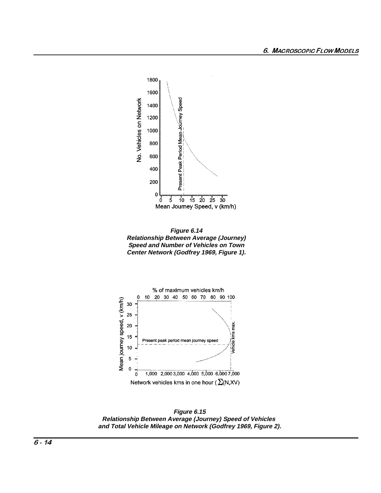

Figure 6.14 **Relationship Between Average (Journey)** Speed and Number of Vehicles on Town Center Network (Godfrey 1969, Figure 1).



Figure 6.15 Relationship Between Average (Journey) Speed of Vehicles and Total Vehicle Mileage on Network (Godfrey 1969, Figure 2).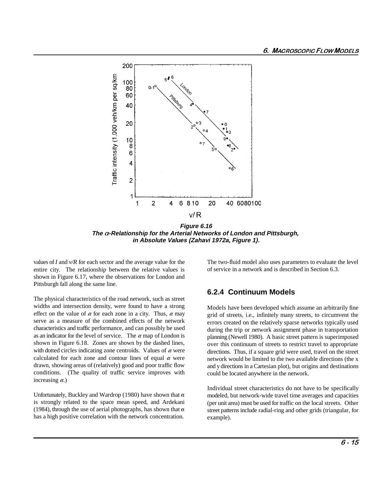

**Figure 6.16 The -Relationship for the Arterial Networks of London and Pittsburgh, in Absolute Values (Zahavi 1972a, Figure 1).**

values of *I* and *v/R* for each sector and the average value for the entire city. The relationship between the relative values is shown in Figure 6.17, where the observations for London and Pittsburgh fall along the same line.

The physical characteristics of the road network, such as street widths and intersection density, were found to have a strong effect on the value of  $\alpha$  for each zone in a city. Thus,  $\alpha$  may serve as a measure of the combined effects of the network characteristics and traffic performance, and can possibly be used as an indicator for the level of service. The  $\alpha$  map of London is shown in Figure 6.18. Zones are shown by the dashed lines, with dotted circles indicating zone centroids. Values of  $\alpha$  were calculated for each zone and contour lines of equal  $\alpha$  were drawn, showing areas of (relatively) good and poor traffic flow conditions. (The quality of traffic service improves with increasing  $\alpha$ .)

Unfortunately, Buckley and Wardrop (1980) have shown that  $\alpha$ is strongly related to the space mean speed, and Ardekani (1984), through the use of aerial photographs, has shown that  $\alpha$ has a high positive correlation with the network concentration.

The two-fluid model also uses parameters to evaluate the level of service in a network and is described in Section 6.3.

#### **6.2.4 Continuum Models**

Models have been developed which assume an arbitrarily fine grid of streets, i.e., infinitely many streets, to circumvent the errors created on the relatively sparse networks typically used during the trip or network assignment phase in transportation planning (Newell 1980). A basic street pattern is superimposed over this continuum of streets to restrict travel to appropriate directions. Thus, if a square grid were used, travel on the street network would be limited to the two available directions (the x and y directions in a Cartesian plot), but origins and destinations could be located anywhere in the network.

Individual street characteristics do not have to be specifically modeled, but network-wide travel time averages and capacities (per unit area) must be used for traffic on the local streets. Other street patterns include radial-ring and other grids (triangular, for example).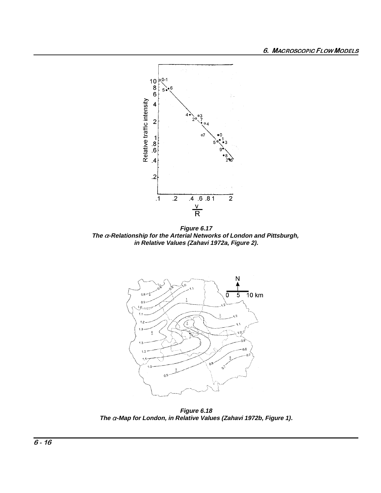

Figure 6.17<br>The a-Relationship for the Arterial Networks of London and Pittsburgh, in Relative Values (Zahavi 1972a, Figure 2).



Figure 6.18<br>The  $\alpha$ -Map for London, in Relative Values (Zahavi 1972b, Figure 1).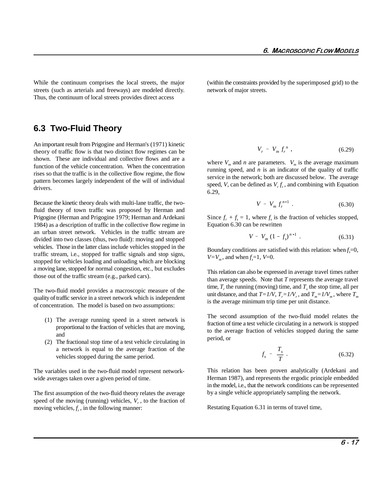streets (such as arterials and freeways) are modeled directly. network of major streets. Thus, the continuum of local streets provides direct access

While the continuum comprises the local streets, the major (within the constraints provided by the superimposed grid) to the

**6.3 Two-Fluid Theory**

An important result from Prigogine and Herman's (1971) kinetic theory of traffic flow is that two distinct flow regimes can be shown. These are individual and collective flows and are a function of the vehicle concentration. When the concentration rises so that the traffic is in the collective flow regime, the flow pattern becomes largely independent of the will of individual drivers.

Because the kinetic theory deals with multi-lane traffic, the twofluid theory of town traffic was proposed by Herman and Prigogine (Herman and Prigogine 1979; Herman and Ardekani 1984) as a description of traffic in the collective flow regime in an urban street network. Vehicles in the traffic stream are divided into two classes (thus, two fluid): moving and stopped vehicles. Those in the latter class include vehicles stopped in the traffic stream, i.e., stopped for traffic signals and stop signs, stopped for vehicles loading and unloading which are blocking a moving lane, stopped for normal congestion, etc., but excludes those out of the traffic stream (e.g., parked cars).

The two-fluid model provides a macroscopic measure of the quality of traffic service in a street network which is independent of concentration. The model is based on two assumptions:

- (1) The average running speed in a street network is proportional to the fraction of vehicles that are moving, and
- (2) The fractional stop time of a test vehicle circulating in a network is equal to the average fraction of the vehicles stopped during the same period.

The variables used in the two-fluid model represent networkwide averages taken over a given period of time.

The first assumption of the two-fluid theory relates the average speed of the moving (running) vehicles,  $V_r$ , to the fraction of moving vehicles,  $f_r$ , in the following manner:

$$
V_r = V_m f_r^n \t\t(6.29)
$$

where  $V_m$  and *n* are parameters.  $V_m$  is the average maximum running speed, and *n* is an indicator of the quality of traffic service in the network; both are discussed below. The average speed, *V*, can be defined as  $V_r f_r$ , and combining with Equation 6.29,

$$
V = V_m f_r^{n+1} \t\t(6.30)
$$

Since  $f_r + f_s = 1$ , where  $f_s$  is the fraction of vehicles stopped, Equation 6.30 can be rewritten

$$
V = V_m (1 - f_s)^{n+1} . \tag{6.31}
$$

Boundary conditions are satisfied with this relation: when  $f = 0$ ,  $V=V_m$ , and when  $f = 1$ ,  $V=0$ .

This relation can also be expressed in average travel times rather than average speeds. Note that *T* represents the average travel time,  $T_r$ , the running (moving) time, and  $T_s$ , the stop time, all per unit distance, and that  $T=1/V$ ,  $T_r=1/V_r$ , and  $T_m=1/V_m$ , where  $T_m$ is the average minimum trip time per unit distance.

The second assumption of the two-fluid model relates the fraction of time a test vehicle circulating in a network is stopped to the average fraction of vehicles stopped during the same period, or

$$
f_s = \frac{T_s}{T} \ . \tag{6.32}
$$

This relation has been proven analytically (Ardekani and Herman 1987), and represents the ergodic principle embedded in the model, i.e., that the network conditions can be represented by a single vehicle appropriately sampling the network.

Restating Equation 6.31 in terms of travel time,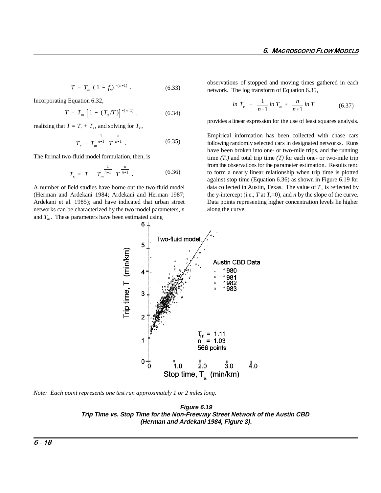$$
T = T_m (1 - f_s)^{-(n+1)}.
$$
 (6.33)

Incorporating Equation 6.32,

$$
T = T_m \left[ 1 - (T_s/T) \right]^{-(n+1)}, \tag{6.34}
$$

realizing that  $T = T_r + T_s$ , and solving for  $T_r$ ,

$$
T_r = T_m^{\frac{1}{n+1}} T^{\frac{n}{n+1}}.
$$
 (6.35)

The formal two-fluid model formulation, then, is

$$
T_s = T - T_m^{\frac{1}{n+1}} T^{\frac{n}{n+1}}.
$$
 (6.36)

A number of field studies have borne out the two-fluid model Ardekani et al. 1985); and have indicated that urban street Data points representing higher concentration levels lie higher networks can be characterized by the two model parameters, *n* and  $T_m$ . These parameters have been estimated using

observations of stopped and moving times gathered in each network. The log transform of Equation 6.35,

$$
\ln T_r = \frac{1}{n+1} \ln T_m + \frac{n}{n+1} \ln T \tag{6.37}
$$

provides a linear expression for the use of least squares analysis.

(Herman and Ardekani 1984; Ardekani and Herman 1987; the y-intercept (i.e., *T* at  $T_s=0$ ), and *n* by the slope of the curve. Empirical information has been collected with chase cars following randomly selected cars in designated networks. Runs have been broken into one- or two-mile trips, and the running time  $(T_r)$  and total trip time  $(T)$  for each one- or two-mile trip from the observations for the parameter estimation. Results tend to form a nearly linear relationship when trip time is plotted against stop time (Equation 6.36) as shown in Figure 6.19 for data collected in Austin, Texas. The value of  $T_m$  is reflected by along the curve.



*Note: Each point represents one test run approximately 1 or 2 miles long.* 

**Figure 6.19 Trip Time vs. Stop Time for the Non-Freeway Street Network of the Austin CBD (Herman and Ardekani 1984, Figure 3).**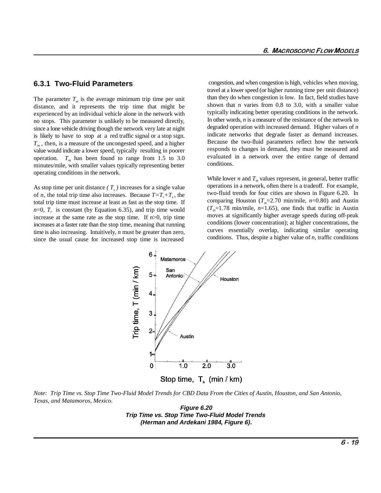#### **6.3.1 Two-Fluid Parameters**

The parameter  $T_m$  is the average minimum trip time per unit distance, and it represents the trip time that might be experienced by an individual vehicle alone in the network with no stops. This parameter is unlikely to be measured directly, since a lone vehicle driving though the network very late at night is likely to have to stop at a red traffic signal or a stop sign.  $T_m$ , then, is a measure of the uncongested speed, and a higher value would indicate a lower speed, typically resulting in poorer operation.  $T_m$  has been found to range from 1.5 to 3.0 minutes/mile, with smaller values typically representing better operating conditions in the network.

As stop time per unit distance  $(T_s)$  increases for a single value of *n*, the total trip time also increases. Because  $T=T_r+T_s$ , the total trip time must increase at least as fast as the stop time. If  $n=0$ ,  $T<sub>r</sub>$  is constant (by Equation 6.35), and trip time would increase at the same rate as the stop time. If  $n>0$ , trip time increases at a faster rate than the stop time, meaning that running time is also increasing. Intuitively, *n* must be greater than zero, since the usual cause for increased stop time is increased

 congestion, and when congestion is high, vehicles when moving, travel at a lower speed (or higher running time per unit distance) than they do when congestion is low. In fact, field studies have shown that *n* varies from 0.8 to 3.0, with a smaller value typically indicating better operating conditions in the network. In other words, *n* is a measure of the resistance of the network to degraded operation with increased demand. Higher values of *n* indicate networks that degrade faster as demand increases. Because the two-fluid parameters reflect how the network responds to changes in demand, they must be measured and evaluated in a network over the entire range of demand conditions.

While lower *n* and  $T_m$  values represent, in general, better traffic operations in a network, often there is a tradeoff. For example, two-fluid trends for four cities are shown in Figure 6.20. In comparing Houston ( $T_m$ =2.70 min/mile,  $n$ =0.80) and Austin  $(T_m=1.78 \text{ min/mile}, n=1.65)$ , one finds that traffic in Austin moves at significantly higher average speeds during off-peak conditions (lower concentration); at higher concentrations, the curves essentially overlap, indicating similar operating conditions. Thus, despite a higher value of *n*, traffic conditions



*Note: Trip Time vs. Stop Time Two-Fluid Model Trends for CBD Data From the Cities of Austin, Houston, and San Antonio, Texas, and Matamoros, Mexico.* 

**Figure 6.20 Trip Time vs. Stop Time Two-Fluid Model Trends (Herman and Ardekani 1984, Figure 6).**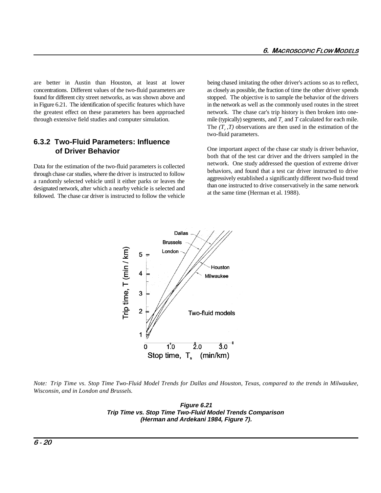are better in Austin than Houston, at least at lower being chased imitating the other driver's actions so as to reflect, concentrations. Different values of the two-fluid parameters are as closely as possible, the fraction of time the other driver spends found for different city street networks, as was shown above and stopped. The objective is to sample the behavior of the drivers in Figure 6.21. The identification of specific features which have in the network as well as the commonly used routes in the street the greatest effect on these parameters has been approached network. The chase car's trip history is then broken into onethrough extensive field studies and computer simulation.

#### **6.3.2 Two-Fluid Parameters: Influence of Driver Behavior**

Data for the estimation of the two-fluid parameters is collected through chase car studies, where the driver is instructed to follow a randomly selected vehicle until it either parks or leaves the designated network, after which a nearby vehicle is selected and followed. The chase car driver is instructed to follow the vehicle mile (typically) segments, and  $T_r$  and  $T$  calculated for each mile. The  $(T, T)$  observations are then used in the estimation of the two-fluid parameters.

One important aspect of the chase car study is driver behavior, both that of the test car driver and the drivers sampled in the network. One study addressed the question of extreme driver behaviors, and found that a test car driver instructed to drive aggressively established a significantly different two-fluid trend than one instructed to drive conservatively in the same network at the same time (Herman et al. 1988).



*Note: Trip Time vs. Stop Time Two-Fluid Model Trends for Dallas and Houston, Texas, compared to the trends in Milwaukee, Wisconsin, and in London and Brussels.*

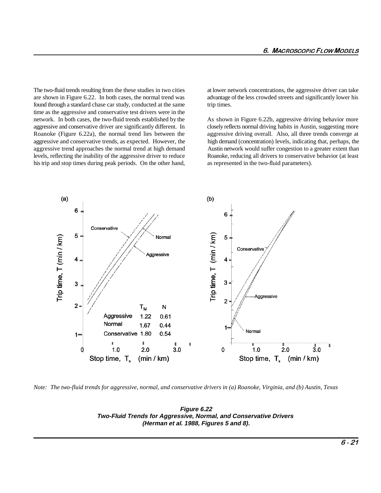The two-fluid trends resulting from the these studies in two cities at lower network concentrations, the aggressive driver can take are shown in Figure 6.22. In both cases, the normal trend was advantage of the less crowded streets and significantly lower his found through a standard chase car study, conducted at the same trip times. time as the aggressive and conservative test drivers were in the network. In both cases, the two-fluid trends established by the As shown in Figure 6.22b, aggressive driving behavior more aggressive and conservative driver are significantly different. In closely reflects normal driving habits in Austin, suggesting more Roanoke (Figure 6.22a), the normal trend lies between the aggressive driving overall. Also, all three trends converge at aggressive and conservative trends, as expected. However, the high demand (concentration) levels, indicating that, perhaps, the aggressive trend approaches the normal trend at high demand Austin network would suffer congestion to a greater extent than levels, reflecting the inability of the aggressive driver to reduce Roanoke, reducing all drivers to conservative behavior (at least his trip and stop times during peak periods. On the other hand, as represented in the two-fluid parameters).



*Note: The two-fluid trends for aggressive, normal, and conservative drivers in (a) Roanoke, Virginia, and (b) Austin, Texas* 

**Figure 6.22 Two-Fluid Trends for Aggressive, Normal, and Conservative Drivers (Herman et al. 1988, Figures 5 and 8).**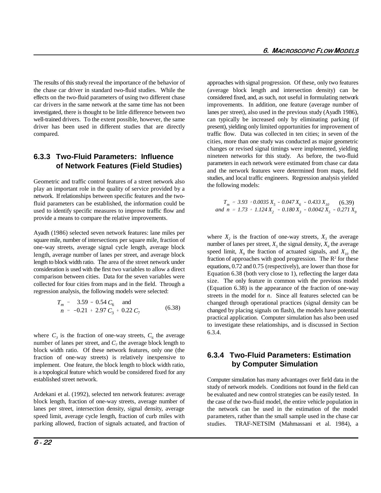The results of this study reveal the importance of the behavior of approaches with signal progression. Of these, only two features the chase car driver in standard two-fluid studies. While the (average block length and intersection density) can be effects on the two-fluid parameters of using two different chase considered fixed, and, as such, not useful in formulating network car drivers in the same network at the same time has not been improvements. In addition, one feature (average number of investigated, there is thought to be little difference between two lanes per street), also used in the previous study (Ayadh 1986), well-trained drivers. To the extent possible, however, the same can typically be increased only by eliminating parking (if driver has been used in different studies that are directly present), yielding only limited opportunities for improvement of compared. traffic flow. Data was collected in ten cities; in seven of the

#### **6.3.3 Two-Fluid Parameters: Influence of Network Features (Field Studies)**

Geometric and traffic control features of a street network also play an important role in the quality of service provided by a network. If relationships between specific features and the twofluid parameters can be established, the information could be used to identify specific measures to improve traffic flow and provide a means to compare the relative improvements.

Ayadh (1986) selected seven network features: lane miles per square mile, number of intersections per square mile, fraction of one-way streets, average signal cycle length, average block length, average number of lanes per street, and average block length to block width ratio. The area of the street network under consideration is used with the first two variables to allow a direct comparison between cities. Data for the seven variables were collected for four cities from maps and in the field. Through a regression analysis, the following models were selected:

$$
T_m = 3.59 - 0.54 C_6
$$
 and  
\n
$$
n = -0.21 + 2.97 C_3 + 0.22 C_7
$$
 (6.38)

where  $C_3$  is the fraction of one-way streets,  $C_6$  the average number of lanes per street, and  $C_7$  the average block length to block width ratio. Of these network features, only one (the fraction of one-way streets) is relatively inexpensive to implement. One feature, the block length to block width ratio, **by Computer Simulation** is a topological feature which would be considered fixed for any established street network.

Ardekani et al. (1992), selected ten network features: average block length, fraction of one-way streets, average number of lanes per street, intersection density, signal density, average speed limit, average cycle length, fraction of curb miles with parking allowed, fraction of signals actuated, and fraction of cities, more than one study was conducted as major geometric changes or revised signal timings were implemented, yielding nineteen networks for this study. As before, the two-fluid parameters in each network were estimated from chase car data and the network features were determined from maps, field studies, and local traffic engineers. Regression analysis yielded the following models:

 $T_m$  = 3.93 + 0.0035  $X_5$  - 0.047  $X_6$  - 0.433  $X_{10}$  $T_m = 3.93 + 0.0035 X_5 - 0.047 X_6 - 0.433 X_{10}$  (6.39)<br>
and  $n = 1.73 + 1.124 X_2 - 0.180 X_3 - 0.0042 X_5 - 0.271 X_9$ 

where  $X_2$  is the fraction of one-way streets,  $X_3$  the average number of lanes per street,  $X_5$  the signal density,  $X_6$  the average speed limit,  $X_0$  the fraction of actuated signals, and  $X_{10}$  the fraction of approaches with good progression. The  $R<sup>2</sup>$  for these equations, 0.72 and 0.75 (respectively), are lower than those for Equation 6.38 (both very close to 1), reflecting the larger data size. The only feature in common with the previous model (Equation 6.38) is the appearance of the fraction of one-way streets in the model for *n*. Since all features selected can be changed through operational practices (signal density can be changed by placing signals on flash), the models have potential practical application. Computer simulation has also been used to investigate these relationships, and is discussed in Section 6.3.4.

# **6.3.4 Two-Fluid Parameters: Estimation**

Computer simulation has many advantages over field data in the study of network models. Conditions not found in the field can be evaluated and new control strategies can be easily tested. In the case of the two-fluid model, the entire vehicle population in the network can be used in the estimation of the model parameters, rather than the small sample used in the chase car studies. TRAF-NETSIM (Mahmassani et al. 1984), a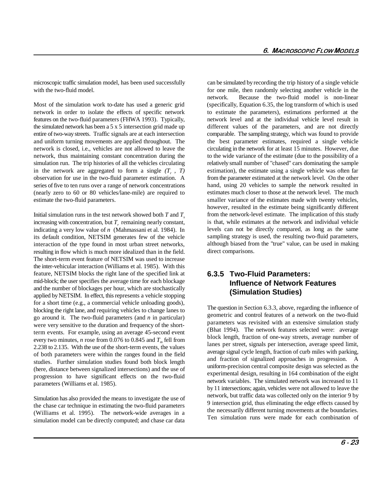microscopic traffic simulation model, has been used successfully can be simulated by recording the trip history of a single vehicle with the two-fluid model. **for one mile, then randomly selecting another vehicle in the** 

Most of the simulation work to-date has used a generic grid (specifically, Equation 6.35, the log transform of which is used network in order to isolate the effects of specific network to estimate the parameters), estimations performed at the features on the two-fluid parameters (FHWA 1993). Typically, network level and at the individual vehicle level result in the simulated network has been a 5 x 5 intersection grid made up different values of the parameters, and are not directly entire of two-way streets. Traffic signals are at each intersection comparable. The sampling strategy, which was found to provide and uniform turning movements are applied throughout. The the best parameter estimates, required a single vehicle network is closed, i.e., vehicles are not allowed to leave the circulating in the network for at least 15 minutes. However, due network, thus maintaining constant concentration during the to the wide variance of the estimate (due to the possibility of a simulation run. The trip histories of all the vehicles circulating relatively small number of "chased" cars dominating the sample in the network are aggregated to form a single  $(T_r, T)$ observation for use in the two-fluid parameter estimation. A series of five to ten runs over a range of network concentrations (nearly zero to 60 or 80 vehicles/lane-mile) are required to estimate the two-fluid parameters.

Initial simulation runs in the test network showed both  $T$  and  $T_s$ increasing with concentration, but  $T_r$  remaining nearly constant, indicating a very low value of *n* (Mahmassani et al. 1984). In its default condition, NETSIM generates few of the vehicle interaction of the type found in most urban street networks, resulting in flow which is much more idealized than in the field. The short-term event feature of NETSIM was used to increase the inter-vehicular interaction (Williams et al. 1985). With this feature, NETSIM blocks the right lane of the specified link at mid-block; the user specifies the average time for each blockage and the number of blockages per hour, which are stochastically applied by NETSIM. In effect, this represents a vehicle stopping for a short time (e.g., a commercial vehicle unloading goods), blocking the right lane, and requiring vehicles to change lanes to go around it. The two-fluid parameters (and *n* in particular) were very sensitive to the duration and frequency of the shortterm events. For example, using an average 45-second event every two minutes, *n* rose from 0.076 to 0.845 and  $T<sub>m</sub>$  fell from 2.238 to 2.135. With the use of the short-term events, the values of both parameters were within the ranges found in the field studies. Further simulation studies found both block length (here, distance between signalized intersections) and the use of progression to have significant effects on the two-fluid parameters (Williams et al. 1985).

Simulation has also provided the means to investigate the use of the chase car technique in estimating the two-fluid parameters (Williams et al. 1995). The network-wide averages in a simulation model can be directly computed; and chase car data

network. Because the two-fluid model is non-linear estimation), the estimate using a single vehicle was often far from the parameter estimated at the network level. On the other hand, using 20 vehicles to sample the network resulted in estimates much closer to those at the network level. The much smaller variance of the estimates made with twenty vehicles, however, resulted in the estimate being significantly different from the network-level estimate. The implication of this study is that, while estimates at the network and individual vehicle levels can not be directly compared, as long as the same sampling strategy is used, the resulting two-fluid parameters, although biased from the "true" value, can be used in making direct comparisons.

## **6.3.5 Two-Fluid Parameters: Influence of Network Features (Simulation Studies)**

The question in Section 6.3.3, above, regarding the influence of geometric and control features of a network on the two-fluid parameters was revisited with an extensive simulation study (Bhat 1994). The network features selected were: average block length, fraction of one-way streets, average number of lanes per street, signals per intersection, average speed limit, average signal cycle length, fraction of curb miles with parking, and fraction of signalized approaches in progression. A uniform-precision central composite design was selected as the experimental design, resulting in 164 combination of the eight network variables. The simulated network was increased to 11 by 11 intersections; again, vehicles were not allowed to leave the network, but traffic data was collected only on the interior 9 by 9 intersection grid, thus eliminating the edge effects caused by the necessarily different turning movements at the boundaries. Ten simulation runs were made for each combination of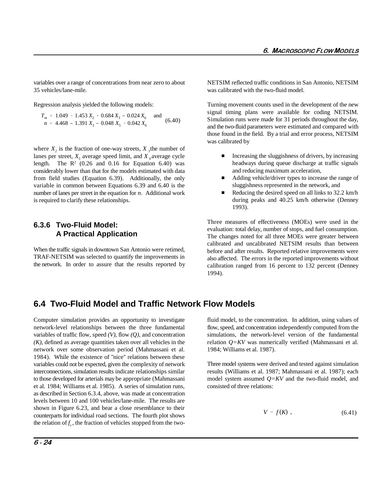35 vehicles/lane-mile. was calibrated with the two-fluid model.

$$
T_m = 1.049 + 1.453 X_2 + 0.684 X_3 - 0.024 X_6
$$
 and  

$$
n = 4.468 - 1.391 X_3 - 0.048 X_5 + 0.042 X_6
$$
 (6.40)

where  $X_2$  is the fraction of one-way streets,  $X_3$  the number of lanes per street,  $X_5$  average speed limit, and  $X_6$  average cycle length. The  $R<sup>2</sup>$  (0.26 and 0.16 for Equation 6.40) was considerably lower than that for the models estimated with data from field studies (Equation 6.39). Additionally, the only variable in common between Equations 6.39 and 6.40 is the number of lanes per street in the equation for *n*. Additional work is required to clarify these relationships.

#### **6.3.6 Two-Fluid Model: A Practical Application**

When the traffic signals in downtown San Antonio were retimed, TRAF-NETSIM was selected to quantify the improvements in the network. In order to assure that the results reported by

variables over a range of concentrations from near zero to about NETSIM reflected traffic conditions in San Antonio, NETSIM

Regression analysis yielded the following models: Turning movement counts used in the development of the new signal timing plans were available for coding NETSIM. Simulation runs were made for 31 periods throughout the day, and the two-fluid parameters were estimated and compared with those found in the field. By a trial and error process, NETSIM was calibrated by

- $\blacksquare$  Increasing the sluggishness of drivers, by increasing headways during queue discharge at traffic signals and reducing maximum acceleration,
- $\overline{a}$  Adding vehicle/driver types to increase the range of sluggishness represented in the network, and
- $\overline{a}$  Reducing the desired speed on all links to 32.2 km/h during peaks and 40.25 km/h otherwise (Denney 1993).

Three measures of effectiveness (MOEs) were used in the evaluation: total delay, number of stops, and fuel consumption. The changes noted for all three MOEs were greater between calibrated and uncalibrated NETSIM results than between before and after results. Reported relative improvements were also affected. The errors in the reported improvements without calibration ranged from 16 percent to 132 percent (Denney 1994).

# **6.4 Two-Fluid Model and Traffic Network Flow Models**

Computer simulation provides an opportunity to investigate fluid model, to the concentration. In addition, using values of network-level relationships between the three fundamental flow, speed, and concentration independently computed from the variables of traffic flow, speed *(V)*, flow *(Q)*, and concentration  $(K)$ , defined as average quantities taken over all vehicles in the network over some observation period (Mahmassani et al. 1984). While the existence of "nice" relations between these variables could not be expected, given the complexity of network interconnections, simulation results indicate relationships similar to those developed for arterials may be appropriate (Mahmassani model system assumed *Q=KV* and the two-fluid model, and et al. 1984; Williams et al. 1985). A series of simulation runs, consisted of three relations: as described in Section 6.3.4, above, was made at concentration levels between 10 and 100 vehicles/lane-mile. The results are shown in Figure 6.23, and bear a close resemblance to their counterparts for individual road sections. The fourth plot shows the relation of  $f<sub>s</sub>$ , the fraction of vehicles stopped from the two-

simulations, the network-level version of the fundamental relation *Q=KV* was numerically verified (Mahmassani et al. 1984; Williams et al. 1987).

Three model systems were derived and tested against simulation results (Williams et al. 1987; Mahmassani et al. 1987); each

$$
V = f(K) \tag{6.41}
$$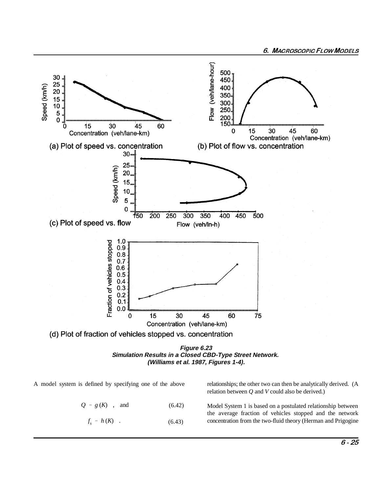



A model system is defined by specifying one of the above relationships; the other two can then be analytically derived. (A

$$
Q = g(K) \quad , \quad \text{and} \tag{6.42}
$$

 $f_s = h(K)$ . (6.43) relation between *Q* and *V* could also be derived.)

Model System 1 is based on a postulated relationship between the average fraction of vehicles stopped and the network concentration from the two-fluid theory (Herman and Prigogine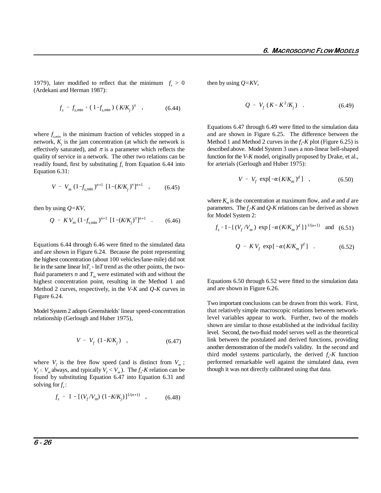1979), later modified to reflect that the minimum  $f<sub>s</sub> > 0$  then by using  $Q=KV$ , (Ardekani and Herman 1987):

$$
f_s = f_{s,\min} + (1 - f_{s,\min}) (K/K_j)^{\pi} , \qquad (6.44)
$$

where  $f_{s,min}$  is the minimum fraction of vehicles stopped in a network,  $K_i$  is the jam concentration (at which the network is effectively saturated), and  $\pi$  is a parameter which reflects the quality of service in a network. The other two relations can be readily found, first by substituting  $f<sub>s</sub>$  from Equation 6.44 into Equation 6.31:

$$
V = V_m (1 - f_{s,\min})^{n+1} [1 - (K/K_j)^{\pi}]^{n+1} , \qquad (6.45)
$$

then by using *Q=KV*,

$$
Q = KV_m (1 - f_{s,\min})^{n+1} [1 - (K/K_j)^{\pi}]^{n+1} \quad . \tag{6.46}
$$

Equations 6.44 through 6.46 were fitted to the simulated data and are shown in Figure 6.24. Because the point representing the highest concentration (about 100 vehicles/lane-mile) did not lie in the same linear  $\ln T_r$  -  $\ln T$  trend as the other points, the twofluid parameters *n* and  $T_m$  were estimated with and without the highest concentration point, resulting in the Method 1 and Method 2 curves, respectively, in the *V-K* and *Q-K* curves in Figure 6.24.

Model System 2 adopts Greenshields' linear speed-concentration relationship (Gerlough and Huber 1975),

$$
V = V_f (1 - K/K_j) , \t\t(6.47)
$$

where  $V_f$  is the free flow speed (and is distinct from  $V_m$ ;  $V_f \leq V_m$  always, and typically  $V_f \leq V_m$ ). The  $f_s$ -*K* relation can be found by substituting Equation 6.47 into Equation 6.31 and solving for *f* :*<sup>s</sup>*

$$
f_s = 1 - [(V_f/V_m) (1 - K/K_j)]^{1/(n+1)}, \qquad (6.48)
$$

$$
Q = V_f (K - K^2 / K_j) \quad . \tag{6.49}
$$

Equations 6.47 through 6.49 were fitted to the simulation data and are shown in Figure 6.25. The difference between the Method 1 and Method 2 curves in the *f -K* plot (Figure 6.25) is *<sup>s</sup>* described above. Model System 3 uses a non-linear bell-shaped function for the *V-K* model, originally proposed by Drake, et al., for arterials (Gerlough and Huber 1975):

$$
V = V_f \exp[-\alpha (K/K_m)^d] , \qquad (6.50)
$$

where  $K_m$  is the concentration at maximum flow, and  $\alpha$  and  $d$  are parameters. The  $f<sub>s</sub>$ -K and Q-K relations can be derived as shown for Model System 2:

$$
f_s = 1 - \left\{ (V_f / V_m) \exp \left[ -\alpha (K / K_m)^d \right] \right\}^{1/(n+1)}
$$
 and (6.51)

$$
Q = KV_f \exp[-\alpha (K/K_m)^d] \quad . \tag{6.52}
$$

Equations 6.50 through 6.52 were fitted to the simulation data and are shown in Figure 6.26.

Two important conclusions can be drawn from this work. First, that relatively simple macroscopic relations between networklevel variables appear to work. Further, two of the models shown are similar to those established at the individual facility level. Second, the two-fluid model serves well as the theoretical link between the postulated and derived functions, providing another demonstration of the model's validity. In the second and third model systems particularly, the derived  $f<sub>s</sub>K$  function performed remarkable well against the simulated data, even though it was not directly calibrated using that data.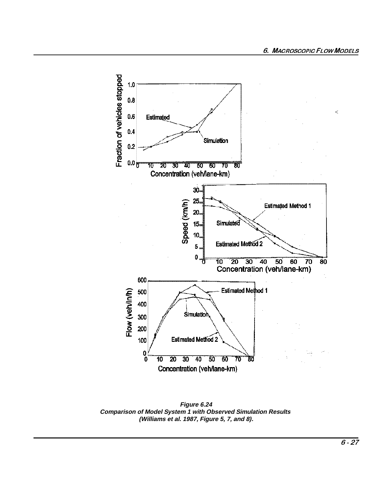

Figure 6.24 **Comparison of Model System 1 with Observed Simulation Results** (Williams et al. 1987, Figure 5, 7, and 8).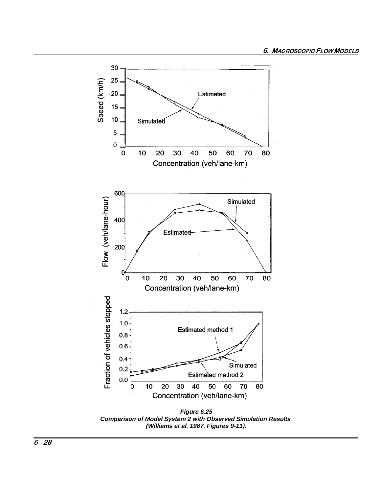

Figure 6.25 Comparison of Model System 2 with Observed Simulation Results (Williams et al. 1987, Figures 9-11).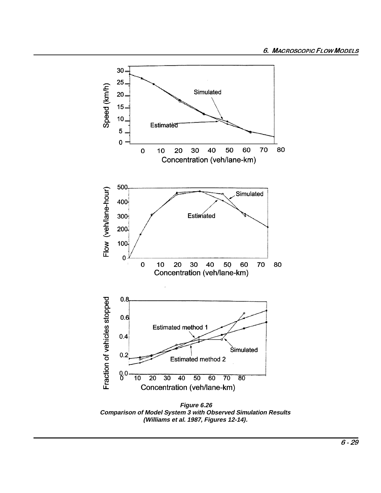

**Comparison of Model System 3 with Observed Simulation Results** (Williams et al. 1987, Figures 12-14).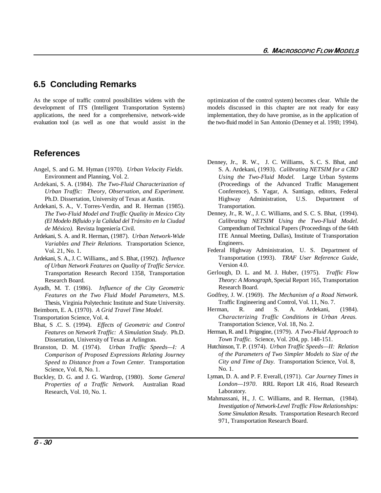# **6.5 Concluding Remarks**

development of ITS (Intelligent Transportation Systems) models discussed in this chapter are not ready for easy applications, the need for a comprehensive, network-wide implementation, they do have promise, as in the application of evaluation tool (as well as one that would assist in the two-fluid model in San Antonio (Denney et al. 1993; 1994).

## **References**

- Angel, S. and G. M. Hyman (1970). *Urban Velocity Fields.*  Environment and Planning, Vol. 2.
- Ardekani, S. A. (1984). *The Two-Fluid Characterization of*
- Ardekani, S. A., V. Torres-Verdin, and R. Herman (1985). Transportation. *The Two-Fluid Model and Traffic Quality in Mexico City (El Modelo Bifluido y la Calidad del Tránsito en la Ciudad de México).* Revista Ingeniería Civil.
- Ardekani, S. A. and R. Herman, (1987). *Urban Network-Wide Variables and Their Relations.* Transportation Science, Vol. 21, No. 1.
- Ardekani, S. A., J. C. Williams,, and S. Bhat, (1992). *Influence of Urban Network Features on Quality of Traffic Service.* Transportation Research Record 1358, Transportation Research Board.
- Ayadh, M. T. (1986). *Influence of the City Geometric Features on the Two Fluid Model Parameters*, M.S. Thesis, Virginia Polytechnic Institute and State University.
- Beimborn, E. A. (1970). *A Grid Travel Time Model*.
- Transportation Science, Vol. 4.
- Bhat, S .C. S. (1994). *Effects of Geometric and Control Features on Network Traffic: A Simulation Study*. Ph.D. Dissertation, University of Texas at Arlington.
- Branston, D. M. (1974). *Urban Traffic Speeds—I: A Comparison of Proposed Expressions Relating Journey Speed to Distance from a Town Center.* Transportation Science, Vol. 8, No. 1.
- Buckley, D. G. and J. G. Wardrop, (1980). *Some General Properties of a Traffic Network.* Australian Road Research, Vol. 10, No. 1.

As the scope of traffic control possibilities widens with the optimization of the control system) becomes clear. While the

- *Urban Traffic: Theory, Observation, and Experiment.* Conference), S. Yagar, A. Santiago, editors, Federal Ph.D. Dissertation, University of Texas at Austin. Highway Administration, U.S. Department of Denney, Jr., R. W., J. C. Williams, S. C. S. Bhat, and S. A. Ardekani, (1993). *Calibrating NETSIM for a CBD Using the Two-Fluid Model.* Large Urban Systems (Proceedings of the Advanced Traffic Management
	- Denney, Jr., R. W., J. C. Williams, and S. C. S. Bhat, (1994). *Calibrating NETSIM Using the Two-Fluid Model.* Compendium of Technical Papers (Proceedings of the 64th ITE Annual Meeting, Dallas), Institute of Transportation Engineers.
	- Federal Highway Administration, U. S. Department of Transportation (1993). *TRAF User Reference Guide*, Version 4.0.
	- Gerlough, D. L. and M. J. Huber, (1975). *Traffic Flow Theory: A Monograph*, Special Report 165, Transportation Research Board.
	- Godfrey, J. W. (1969). *The Mechanism of a Road Network.* Traffic Engineering and Control, Vol. 11, No. 7.
	- Herman, R. and S. A. Ardekani, (1984). *Characterizing Traffic Conditions in Urban Areas.* Transportation Science, Vol. 18, No. 2.
	- Herman, R. and I. Prigogine, (1979). *A Two-Fluid Approach to Town Traffic.* Science, Vol. 204, pp. 148-151.
	- Hutchinson, T. P. (1974). *Urban Traffic Speeds—II: Relation of the Parameters of Two Simpler Models to Size of the City and Time of Day*. Transportation Science, Vol. 8, No. 1.
	- Lyman, D. A. and P. F. Everall, (1971). *Car Journey Times in London—1970*. RRL Report LR 416, Road Research Laboratory.
	- Mahmassani, H., J. C. Williams, and R. Herman, (1984). *Investigation of Network-Level Traffic Flow Relationships: Some Simulation Results*. Transportation Research Record 971, Transportation Research Board.